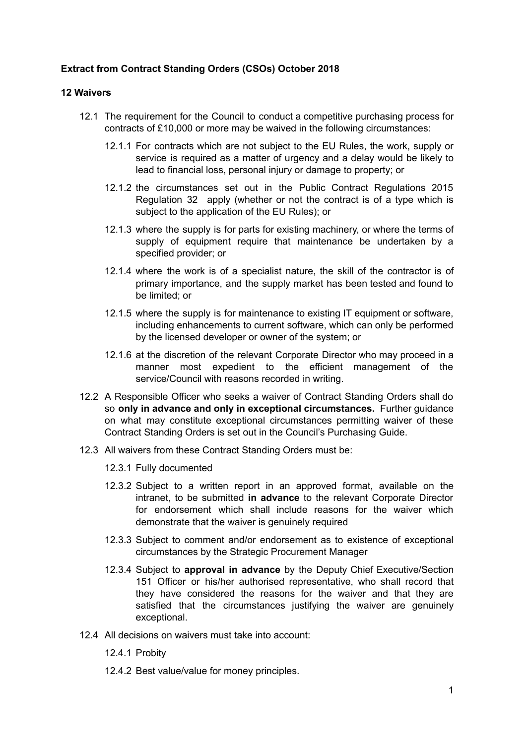## **Extract from Contract Standing Orders (CSOs) October 2018**

## **12 Waivers**

- 12.1 The requirement for the Council to conduct a competitive purchasing process for contracts of £10,000 or more may be waived in the following circumstances:
	- 12.1.1 For contracts which are not subject to the EU Rules, the work, supply or service is required as a matter of urgency and a delay would be likely to lead to financial loss, personal injury or damage to property; or
	- 12.1.2 the circumstances set out in the Public Contract Regulations 2015 Regulation 32 apply (whether or not the contract is of a type which is subject to the application of the EU Rules); or
	- 12.1.3 where the supply is for parts for existing machinery, or where the terms of supply of equipment require that maintenance be undertaken by a specified provider; or
	- 12.1.4 where the work is of a specialist nature, the skill of the contractor is of primary importance, and the supply market has been tested and found to be limited; or
	- 12.1.5 where the supply is for maintenance to existing IT equipment or software, including enhancements to current software, which can only be performed by the licensed developer or owner of the system; or
	- 12.1.6 at the discretion of the relevant Corporate Director who may proceed in a manner most expedient to the efficient management of the service/Council with reasons recorded in writing.
- 12.2 A Responsible Officer who seeks a waiver of Contract Standing Orders shall do so **only in advance and only in exceptional circumstances.** Further guidance on what may constitute exceptional circumstances permitting waiver of these Contract Standing Orders is set out in the Council's Purchasing Guide.
- 12.3 All waivers from these Contract Standing Orders must be:
	- 12.3.1 Fully documented
	- 12.3.2 Subject to a written report in an approved format, available on the intranet, to be submitted **in advance** to the relevant Corporate Director for endorsement which shall include reasons for the waiver which demonstrate that the waiver is genuinely required
	- 12.3.3 Subject to comment and/or endorsement as to existence of exceptional circumstances by the Strategic Procurement Manager
	- 12.3.4 Subject to **approval in advance** by the Deputy Chief Executive/Section 151 Officer or his/her authorised representative, who shall record that they have considered the reasons for the waiver and that they are satisfied that the circumstances justifying the waiver are genuinely exceptional.
- 12.4 All decisions on waivers must take into account:
	- 12.4.1 Probity
	- 12.4.2 Best value/value for money principles.